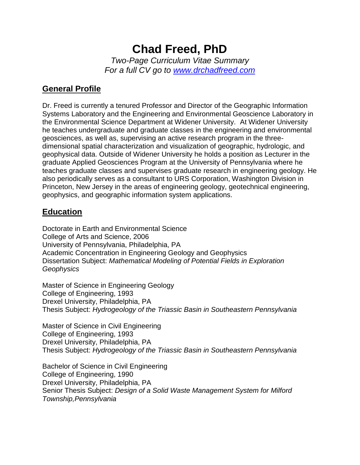**Chad Freed, PhD** *Two-Page Curriculum Vitae Summary For a full CV go to [www.drchadfreed.com](http://www.drchadfreed.com/)*

# **General Profile**

Dr. Freed is currently a tenured Professor and Director of the Geographic Information Systems Laboratory and the Engineering and Environmental Geoscience Laboratory in the Environmental Science Department at Widener University. At Widener University he teaches undergraduate and graduate classes in the engineering and environmental geosciences, as well as, supervising an active research program in the threedimensional spatial characterization and visualization of geographic, hydrologic, and geophysical data. Outside of Widener University he holds a position as Lecturer in the graduate Applied Geosciences Program at the University of Pennsylvania where he teaches graduate classes and supervises graduate research in engineering geology. He also periodically serves as a consultant to URS Corporation, Washington Division in Princeton, New Jersey in the areas of engineering geology, geotechnical engineering, geophysics, and geographic information system applications.

## **Education**

Doctorate in Earth and Environmental Science College of Arts and Science, 2006 University of Pennsylvania, Philadelphia, PA Academic Concentration in Engineering Geology and Geophysics Dissertation Subject: *Mathematical Modeling of Potential Fields in Exploration Geophysics*

Master of Science in Engineering Geology College of Engineering, 1993 Drexel University, Philadelphia, PA Thesis Subject: *Hydrogeology of the Triassic Basin in Southeastern Pennsylvania*

Master of Science in Civil Engineering College of Engineering, 1993 Drexel University, Philadelphia, PA Thesis Subject: *Hydrogeology of the Triassic Basin in Southeastern Pennsylvania*

Bachelor of Science in Civil Engineering College of Engineering, 1990 Drexel University, Philadelphia, PA Senior Thesis Subject: *Design of a Solid Waste Management System for Milford Township,Pennsylvania*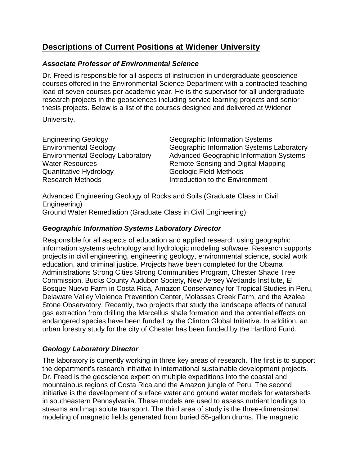# **Descriptions of Current Positions at Widener University**

### *Associate Professor of Environmental Science*

Dr. Freed is responsible for all aspects of instruction in undergraduate geoscience courses offered in the Environmental Science Department with a contracted teaching load of seven courses per academic year. He is the supervisor for all undergraduate research projects in the geosciences including service learning projects and senior thesis projects. Below is a list of the courses designed and delivered at Widener

University.

| <b>Engineering Geology</b>              | <b>Geographic Information Systems</b>          |
|-----------------------------------------|------------------------------------------------|
| <b>Environmental Geology</b>            | Geographic Information Systems Laboratory      |
| <b>Environmental Geology Laboratory</b> | <b>Advanced Geographic Information Systems</b> |
| Water Resources                         | Remote Sensing and Digital Mapping             |
| Quantitative Hydrology                  | <b>Geologic Field Methods</b>                  |
| <b>Research Methods</b>                 | Introduction to the Environment                |

Advanced Engineering Geology of Rocks and Soils (Graduate Class in Civil Engineering) Ground Water Remediation (Graduate Class in Civil Engineering)

#### *Geographic Information Systems Laboratory Director*

Responsible for all aspects of education and applied research using geographic information systems technology and hydrologic modeling software. Research supports projects in civil engineering, engineering geology, environmental science, social work education, and criminal justice. Projects have been completed for the Obama Administrations Strong Cities Strong Communities Program, Chester Shade Tree Commission, Bucks County Audubon Society, New Jersey Wetlands Institute, El Bosque Nuevo Farm in Costa Rica, Amazon Conservancy for Tropical Studies in Peru, Delaware Valley Violence Prevention Center, Molasses Creek Farm, and the Azalea Stone Observatory. Recently, two projects that study the landscape effects of natural gas extraction from drilling the Marcellus shale formation and the potential effects on endangered species have been funded by the Clinton Global Initiative. In addition, an urban forestry study for the city of Chester has been funded by the Hartford Fund.

### *Geology Laboratory Director*

The laboratory is currently working in three key areas of research. The first is to support the department's research initiative in international sustainable development projects. Dr. Freed is the geoscience expert on multiple expeditions into the coastal and mountainous regions of Costa Rica and the Amazon jungle of Peru. The second initiative is the development of surface water and ground water models for watersheds in southeastern Pennsylvania. These models are used to assess nutrient loadings to streams and map solute transport. The third area of study is the three-dimensional modeling of magnetic fields generated from buried 55-gallon drums. The magnetic